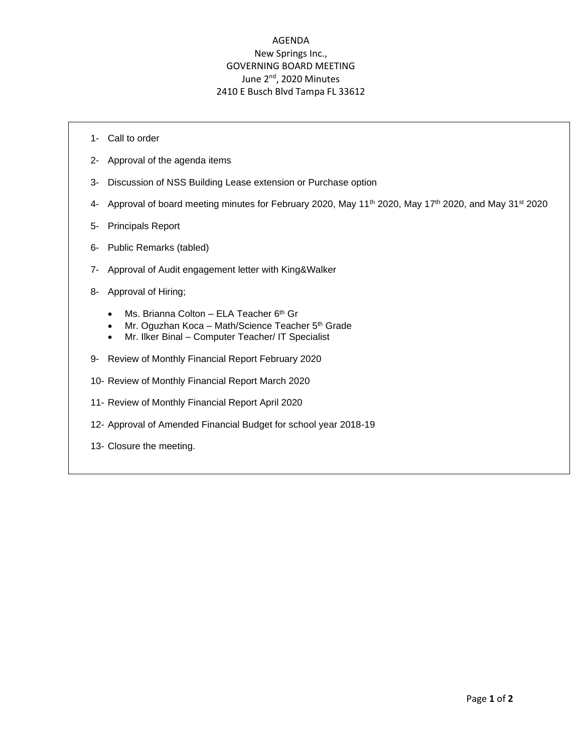## AGENDA New Springs Inc., GOVERNING BOARD MEETING June 2<sup>nd</sup>, 2020 Minutes 2410 E Busch Blvd Tampa FL 33612

- 1- Call to order
- 2- Approval of the agenda items
- 3- Discussion of NSS Building Lease extension or Purchase option
- 4- Approval of board meeting minutes for February 2020, May 11<sup>th</sup> 2020, May 17<sup>th</sup> 2020, and May 31<sup>st</sup> 2020
- 5- Principals Report
- 6- Public Remarks (tabled)
- 7- Approval of Audit engagement letter with King&Walker
- 8- Approval of Hiring;
	- Ms. Brianna Colton ELA Teacher  $6<sup>th</sup>$  Gr
	- Mr. Oguzhan Koca Math/Science Teacher  $5<sup>th</sup>$  Grade
	- Mr. Ilker Binal Computer Teacher/ IT Specialist
- 9- Review of Monthly Financial Report February 2020
- 10- Review of Monthly Financial Report March 2020
- 11- Review of Monthly Financial Report April 2020
- 12- Approval of Amended Financial Budget for school year 2018-19
- 13- Closure the meeting.